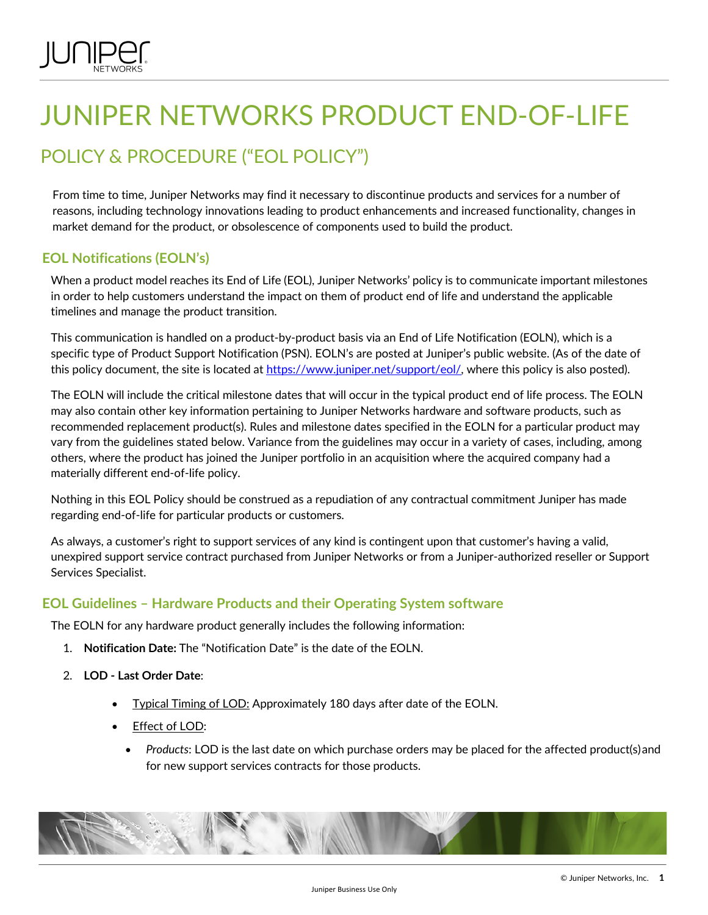# JUNIPER NETWORKS PRODUCT END-OF-LIFE

# POLICY & PROCEDURE ("EOL POLICY")

From time to time, Juniper Networks may find it necessary to discontinue products and services for a number of reasons, including technology innovations leading to product enhancements and increased functionality, changes in market demand for the product, or obsolescence of components used to build the product.

# **EOL Notifications (EOLN's)**

When a product model reaches its End of Life (EOL), Juniper Networks' policy is to communicate important milestones in order to help customers understand the impact on them of product end of life and understand the applicable timelines and manage the product transition.

This communication is handled on a product-by-product basis via an End of Life Notification (EOLN), which is a specific type of Product Support Notification (PSN). EOLN's are posted at Juniper's public website. (As of the date of this policy document, the site is located at https://www.juniper.net/support/eol/, where this policy is also posted).

The EOLN will include the critical milestone dates that will occur in the typical product end of life process. The EOLN may also contain other key information pertaining to Juniper Networks hardware and software products, such as recommended replacement product(s). Rules and milestone dates specified in the EOLN for a particular product may vary from the guidelines stated below. Variance from the guidelines may occur in a variety of cases, including, among others, where the product has joined the Juniper portfolio in an acquisition where the acquired company had a materially different end-of-life policy.

Nothing in this EOL Policy should be construed as a repudiation of any contractual commitment Juniper has made regarding end-of-life for particular products or customers.

As always, a customer's right to support services of any kind is contingent upon that customer's having a valid, unexpired support service contract purchased from Juniper Networks or from a Juniper-authorized reseller or Support Services Specialist.

# **EOL Guidelines – Hardware Products and their Operating System software**

The EOLN for any hardware product generally includes the following information:

- 1. **Notification Date:** The "Notification Date" is the date of the EOLN.
- 2. **LOD - Last Order Date**:
	- Typical Timing of LOD: Approximately 180 days after date of the EOLN.
	- Effect of LOD:
		- *Products:* LOD is the last date on which purchase orders may be placed for the affected product(s) and for new support services contracts for those products.

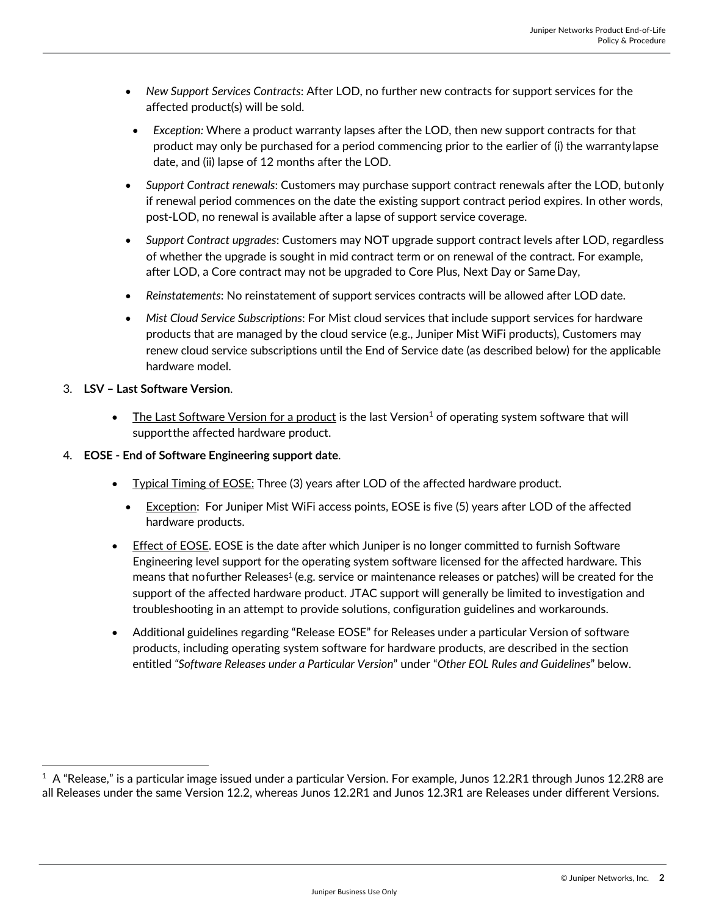- *New Support Services Contracts*: After LOD, no further new contracts for support services for the affected product(s) will be sold.
	- *Exception:* Where a product warranty lapses after the LOD, then new support contracts for that product may only be purchased for a period commencing prior to the earlier of (i) the warrantylapse date, and (ii) lapse of 12 months after the LOD.
- *Support Contract renewals*: Customers may purchase support contract renewals after the LOD, butonly if renewal period commences on the date the existing support contract period expires. In other words, post-LOD, no renewal is available after a lapse of support service coverage.
- *Support Contract upgrades*: Customers may NOT upgrade support contract levels after LOD, regardless of whether the upgrade is sought in mid contract term or on renewal of the contract. For example, after LOD, a Core contract may not be upgraded to Core Plus, Next Day or Same Day,
- *Reinstatements*: No reinstatement of support services contracts will be allowed after LOD date.
- *Mist Cloud Service Subscriptions*: For Mist cloud services that include support services for hardware products that are managed by the cloud service (e.g., Juniper Mist WiFi products), Customers may renew cloud service subscriptions until the End of Service date (as described below) for the applicable hardware model.

#### 3. **LSV – Last Software Version**.

- The Last Software Version for a product is the last Version<sup>1</sup> of operating system software that will supportthe affected hardware product.
- 4. **EOSE - End of Software Engineering support date**.
	- Typical Timing of EOSE: Three (3) years after LOD of the affected hardware product.
		- Exception: For Juniper Mist WiFi access points, EOSE is five (5) years after LOD of the affected hardware products.
	- **Effect of EOSE**. EOSE is the date after which Juniper is no longer committed to furnish Software Engineering level support for the operating system software licensed for the affected hardware. This means that nofurther Releases<sup>1</sup> (e.g. service or maintenance releases or patches) will be created for the support of the affected hardware product. JTAC support will generally be limited to investigation and troubleshooting in an attempt to provide solutions, configuration guidelines and workarounds.
	- Additional guidelines regarding "Release EOSE" for Releases under a particular Version of software products, including operating system software for hardware products, are described in the section entitled *"Software Releases under a Particular Version*" under "*Other EOL Rules and Guidelines*" below.

 $^{\rm 1}$  A "Release," is a particular image issued under a particular Version. For example, Junos 12.2R1 through Junos 12.2R8 are all Releases under the same Version 12.2, whereas Junos 12.2R1 and Junos 12.3R1 are Releases under different Versions.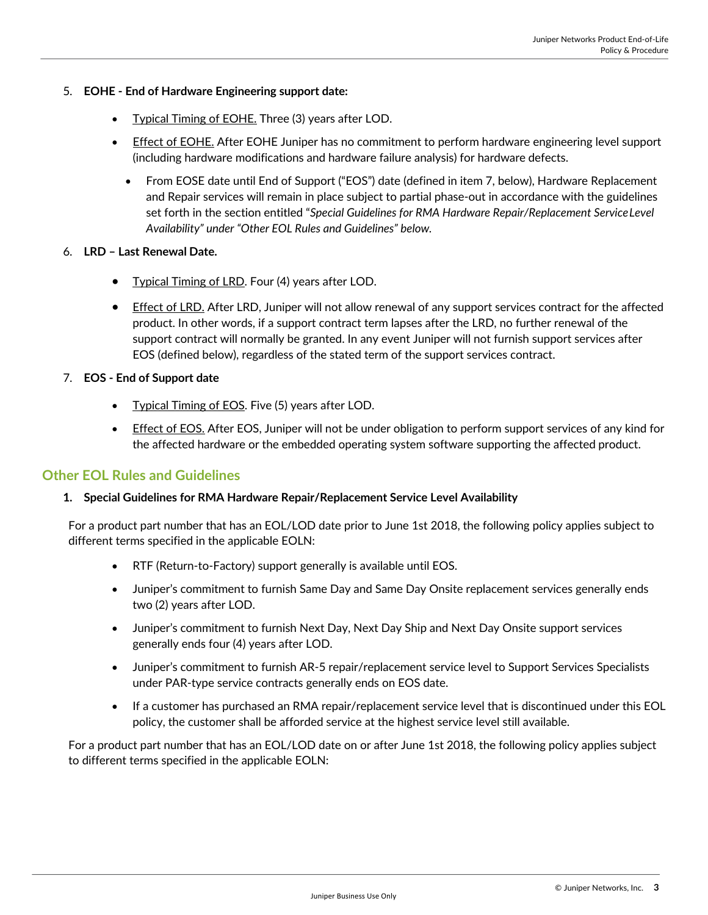#### 5. **EOHE - End of Hardware Engineering support date:**

- **Typical Timing of EOHE.** Three (3) years after LOD.
- Effect of EOHE. After EOHE Juniper has no commitment to perform hardware engineering level support (including hardware modifications and hardware failure analysis) for hardware defects.
	- From EOSE date until End of Support ("EOS") date (defined in item 7, below), Hardware Replacement and Repair services will remain in place subject to partial phase-out in accordance with the guidelines set forth in the section entitled "*Special Guidelines for RMA Hardware Repair/Replacement ServiceLevel Availability" under "Other EOL Rules and Guidelines" below.*
- 6. **LRD – Last Renewal Date.**
	- Typical Timing of LRD. Four (4) years after LOD.
	- Effect of LRD. After LRD, Juniper will not allow renewal of any support services contract for the affected product. In other words, if a support contract term lapses after the LRD, no further renewal of the support contract will normally be granted. In any event Juniper will not furnish support services after EOS (defined below), regardless of the stated term of the support services contract.
- 7. **EOS - End of Support date**
	- Typical Timing of EOS. Five (5) years after LOD.
	- Effect of EOS. After EOS, Juniper will not be under obligation to perform support services of any kind for the affected hardware or the embedded operating system software supporting the affected product.

#### **Other EOL Rules and Guidelines**

#### **1. Special Guidelines for RMA Hardware Repair/Replacement Service Level Availability**

For a product part number that has an EOL/LOD date prior to June 1st 2018, the following policy applies subject to different terms specified in the applicable EOLN:

- RTF (Return-to-Factory) support generally is available until EOS.
- Juniper's commitment to furnish Same Day and Same Day Onsite replacement services generally ends two (2) years after LOD.
- Juniper's commitment to furnish Next Day, Next Day Ship and Next Day Onsite support services generally ends four (4) years after LOD.
- Juniper's commitment to furnish AR-5 repair/replacement service level to Support Services Specialists under PAR-type service contracts generally ends on EOS date.
- If a customer has purchased an RMA repair/replacement service level that is discontinued under this EOL policy, the customer shall be afforded service at the highest service level still available.

For a product part number that has an EOL/LOD date on or after June 1st 2018, the following policy applies subject to different terms specified in the applicable EOLN: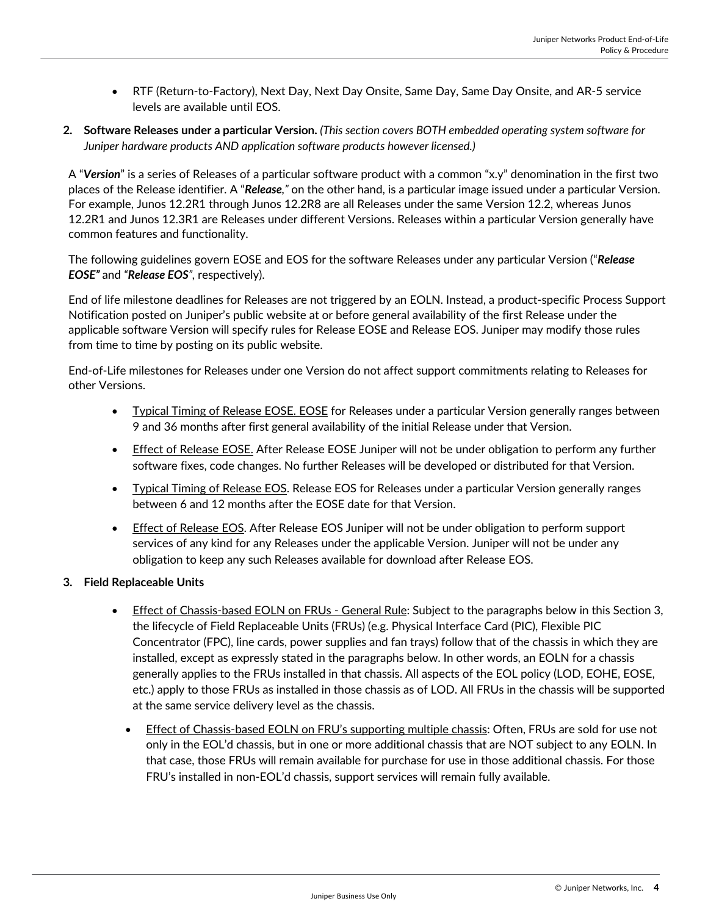- RTF (Return-to-Factory), Next Day, Next Day Onsite, Same Day, Same Day Onsite, and AR-5 service levels are available until EOS.
- **2. Software Releases under a particular Version.** *(This section covers BOTH embedded operating system software for Juniper hardware products AND application software products however licensed.)*

A "*Version*" is a series of Releases of a particular software product with a common "x.y" denomination in the first two places of the Release identifier. A "*Release,"* on the other hand, is a particular image issued under a particular Version. For example, Junos 12.2R1 through Junos 12.2R8 are all Releases under the same Version 12.2, whereas Junos 12.2R1 and Junos 12.3R1 are Releases under different Versions. Releases within a particular Version generally have common features and functionality.

The following guidelines govern EOSE and EOS for the software Releases under any particular Version ("*Release EOSE"* and *"Release EOS",* respectively).

End of life milestone deadlines for Releases are not triggered by an EOLN. Instead, a product-specific Process Support Notification posted on Juniper's public website at or before general availability of the first Release under the applicable software Version will specify rules for Release EOSE and Release EOS. Juniper may modify those rules from time to time by posting on its public website.

End-of-Life milestones for Releases under one Version do not affect support commitments relating to Releases for other Versions.

- Typical Timing of Release EOSE. EOSE for Releases under a particular Version generally ranges between 9 and 36 months after first general availability of the initial Release under that Version.
- **Effect of Release EOSE.** After Release EOSE Juniper will not be under obligation to perform any further software fixes, code changes. No further Releases will be developed or distributed for that Version.
- Typical Timing of Release EOS. Release EOS for Releases under a particular Version generally ranges between 6 and 12 months after the EOSE date for that Version.
- **Effect of Release EOS.** After Release EOS Juniper will not be under obligation to perform support services of any kind for any Releases under the applicable Version. Juniper will not be under any obligation to keep any such Releases available for download after Release EOS.

### **3. Field Replaceable Units**

- Effect of Chassis-based EOLN on FRUs General Rule: Subject to the paragraphs below in this Section 3, the lifecycle of Field Replaceable Units (FRUs) (e.g. Physical Interface Card (PIC), Flexible PIC Concentrator (FPC), line cards, power supplies and fan trays) follow that of the chassis in which they are installed, except as expressly stated in the paragraphs below. In other words, an EOLN for a chassis generally applies to the FRUs installed in that chassis. All aspects of the EOL policy (LOD, EOHE, EOSE, etc.) apply to those FRUs as installed in those chassis as of LOD. All FRUs in the chassis will be supported at the same service delivery level as the chassis.
	- Effect of Chassis-based EOLN on FRU's supporting multiple chassis: Often, FRUs are sold for use not only in the EOL'd chassis, but in one or more additional chassis that are NOT subject to any EOLN. In that case, those FRUs will remain available for purchase for use in those additional chassis. For those FRU's installed in non-EOL'd chassis, support services will remain fully available.